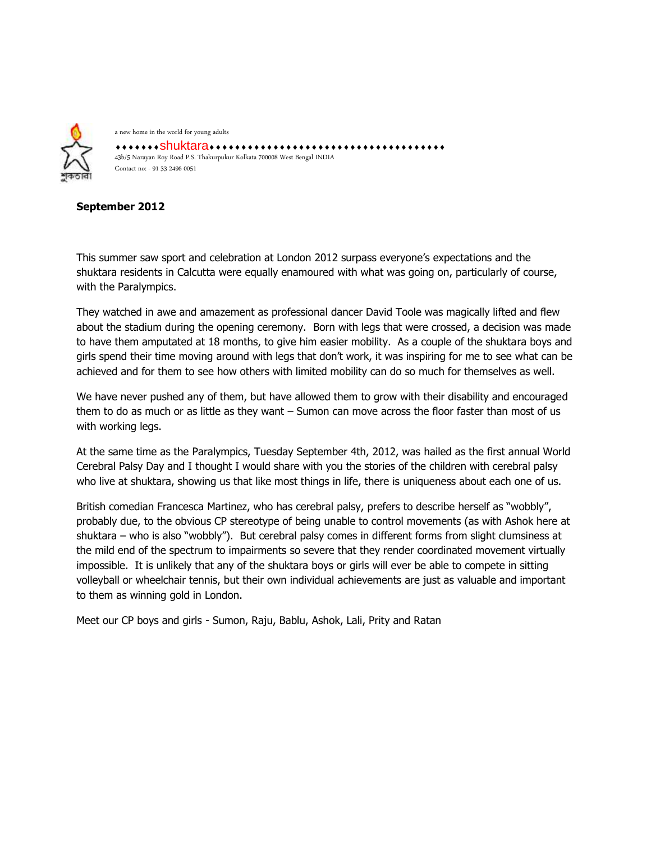

a new home in the world for young adults shuktara 43b/5 Narayan Roy Road P.S. Thakurpukur Kolkata 700008 West Bengal INDIA Contact no: - 91 33 2496 0051

## **September 2012**

This summer saw sport and celebration at London 2012 surpass everyone's expectations and the shuktara residents in Calcutta were equally enamoured with what was going on, particularly of course, with the Paralympics.

They watched in awe and amazement as professional dancer David Toole was magically lifted and flew about the stadium during the opening ceremony. Born with legs that were crossed, a decision was made to have them amputated at 18 months, to give him easier mobility. As a couple of the shuktara boys and girls spend their time moving around with legs that don't work, it was inspiring for me to see what can be achieved and for them to see how others with limited mobility can do so much for themselves as well.

We have never pushed any of them, but have allowed them to grow with their disability and encouraged them to do as much or as little as they want – Sumon can move across the floor faster than most of us with working legs.

At the same time as the Paralympics, Tuesday September 4th, 2012, was hailed as the first annual World Cerebral Palsy Day and I thought I would share with you the stories of the children with cerebral palsy who live at shuktara, showing us that like most things in life, there is uniqueness about each one of us.

British comedian Francesca Martinez, who has cerebral palsy, prefers to describe herself as "wobbly", probably due, to the obvious CP stereotype of being unable to control movements (as with Ashok here at shuktara – who is also "wobbly"). But cerebral palsy comes in different forms from slight clumsiness at the mild end of the spectrum to impairments so severe that they render coordinated movement virtually impossible. It is unlikely that any of the shuktara boys or girls will ever be able to compete in sitting volleyball or wheelchair tennis, but their own individual achievements are just as valuable and important to them as winning gold in London.

Meet our CP boys and girls - Sumon, Raju, Bablu, Ashok, Lali, Prity and Ratan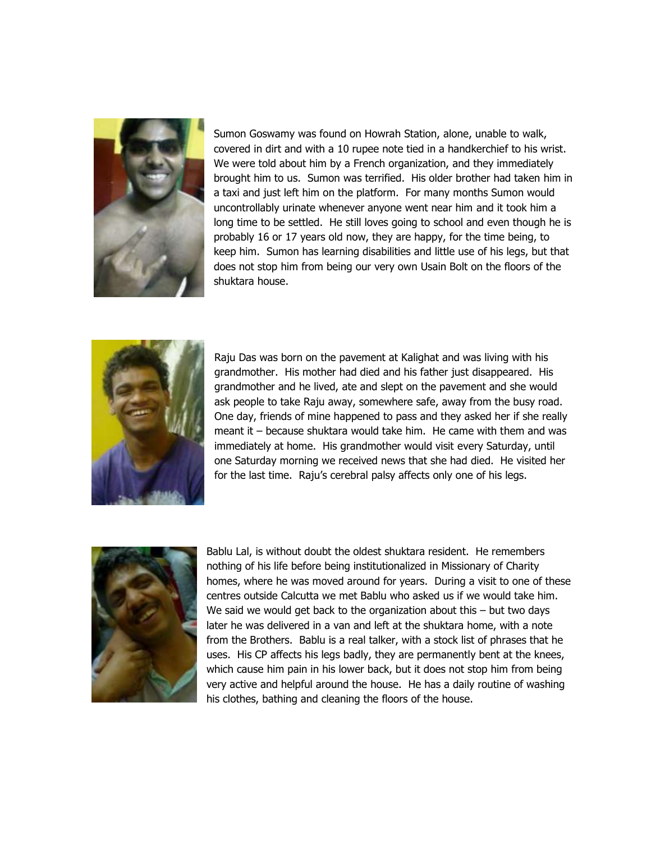

Sumon Goswamy was found on Howrah Station, alone, unable to walk, covered in dirt and with a 10 rupee note tied in a handkerchief to his wrist. We were told about him by a French organization, and they immediately brought him to us. Sumon was terrified. His older brother had taken him in a taxi and just left him on the platform. For many months Sumon would uncontrollably urinate whenever anyone went near him and it took him a long time to be settled. He still loves going to school and even though he is probably 16 or 17 years old now, they are happy, for the time being, to keep him. Sumon has learning disabilities and little use of his legs, but that does not stop him from being our very own Usain Bolt on the floors of the shuktara house.



Raju Das was born on the pavement at Kalighat and was living with his grandmother. His mother had died and his father just disappeared. His grandmother and he lived, ate and slept on the pavement and she would ask people to take Raju away, somewhere safe, away from the busy road. One day, friends of mine happened to pass and they asked her if she really meant it – because shuktara would take him. He came with them and was immediately at home. His grandmother would visit every Saturday, until one Saturday morning we received news that she had died. He visited her for the last time. Raju's cerebral palsy affects only one of his legs.



Bablu Lal, is without doubt the oldest shuktara resident. He remembers nothing of his life before being institutionalized in Missionary of Charity homes, where he was moved around for years. During a visit to one of these centres outside Calcutta we met Bablu who asked us if we would take him. We said we would get back to the organization about this – but two days later he was delivered in a van and left at the shuktara home, with a note from the Brothers. Bablu is a real talker, with a stock list of phrases that he uses. His CP affects his legs badly, they are permanently bent at the knees, which cause him pain in his lower back, but it does not stop him from being very active and helpful around the house. He has a daily routine of washing his clothes, bathing and cleaning the floors of the house.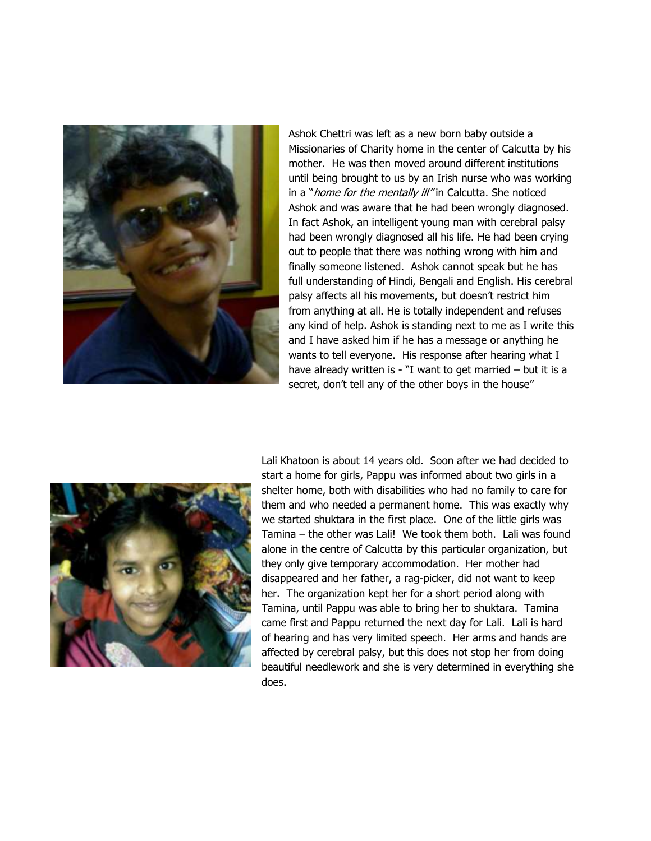

Ashok Chettri was left as a new born baby outside a Missionaries of Charity home in the center of Calcutta by his mother. He was then moved around different institutions until being brought to us by an Irish nurse who was working in a "*home for the mentally ill"* in Calcutta. She noticed Ashok and was aware that he had been wrongly diagnosed. In fact Ashok, an intelligent young man with cerebral palsy had been wrongly diagnosed all his life. He had been crying out to people that there was nothing wrong with him and finally someone listened. Ashok cannot speak but he has full understanding of Hindi, Bengali and English. His cerebral palsy affects all his movements, but doesn't restrict him from anything at all. He is totally independent and refuses any kind of help. Ashok is standing next to me as I write this and I have asked him if he has a message or anything he wants to tell everyone. His response after hearing what I have already written is - "I want to get married  $-$  but it is a secret, don't tell any of the other boys in the house"



Lali Khatoon is about 14 years old. Soon after we had decided to start a home for girls, Pappu was informed about two girls in a shelter home, both with disabilities who had no family to care for them and who needed a permanent home. This was exactly why we started shuktara in the first place. One of the little girls was Tamina – the other was Lali! We took them both. Lali was found alone in the centre of Calcutta by this particular organization, but they only give temporary accommodation. Her mother had disappeared and her father, a rag-picker, did not want to keep her. The organization kept her for a short period along with Tamina, until Pappu was able to bring her to shuktara. Tamina came first and Pappu returned the next day for Lali. Lali is hard of hearing and has very limited speech. Her arms and hands are affected by cerebral palsy, but this does not stop her from doing beautiful needlework and she is very determined in everything she does.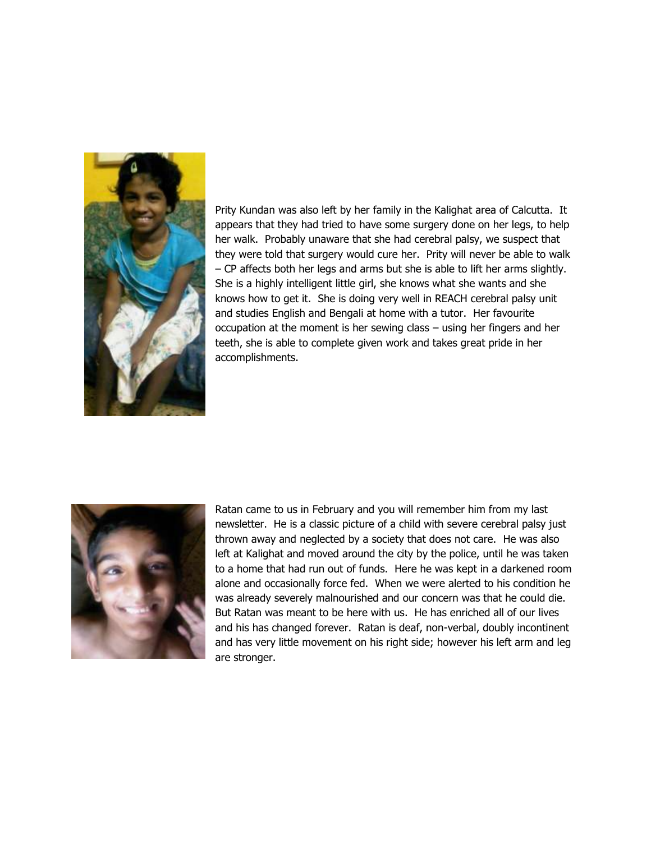

Prity Kundan was also left by her family in the Kalighat area of Calcutta. It appears that they had tried to have some surgery done on her legs, to help her walk. Probably unaware that she had cerebral palsy, we suspect that they were told that surgery would cure her. Prity will never be able to walk – CP affects both her legs and arms but she is able to lift her arms slightly. She is a highly intelligent little girl, she knows what she wants and she knows how to get it. She is doing very well in REACH cerebral palsy unit and studies English and Bengali at home with a tutor. Her favourite occupation at the moment is her sewing class – using her fingers and her teeth, she is able to complete given work and takes great pride in her accomplishments.



Ratan came to us in February and you will remember him from my last newsletter. He is a classic picture of a child with severe cerebral palsy just thrown away and neglected by a society that does not care. He was also left at Kalighat and moved around the city by the police, until he was taken to a home that had run out of funds. Here he was kept in a darkened room alone and occasionally force fed. When we were alerted to his condition he was already severely malnourished and our concern was that he could die. But Ratan was meant to be here with us. He has enriched all of our lives and his has changed forever. Ratan is deaf, non-verbal, doubly incontinent and has very little movement on his right side; however his left arm and leg are stronger.